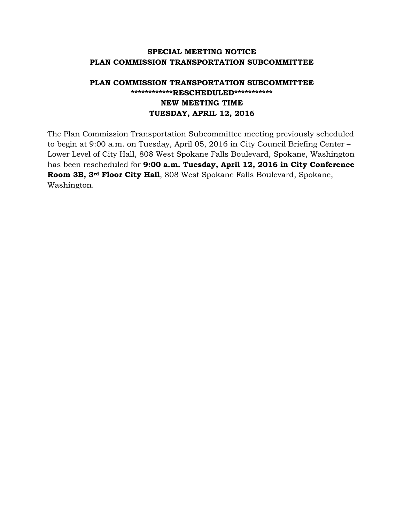## **SPECIAL MEETING NOTICE PLAN COMMISSION TRANSPORTATION SUBCOMMITTEE**

## **PLAN COMMISSION TRANSPORTATION SUBCOMMITTEE \*\*\*\*\*\*\*\*\*\*\*\*RESCHEDULED\*\*\*\*\*\*\*\*\*\*\* NEW MEETING TIME TUESDAY, APRIL 12, 2016**

The Plan Commission Transportation Subcommittee meeting previously scheduled to begin at 9:00 a.m. on Tuesday, April 05, 2016 in City Council Briefing Center – Lower Level of City Hall, 808 West Spokane Falls Boulevard, Spokane, Washington has been rescheduled for **9:00 a.m. Tuesday, April 12, 2016 in City Conference Room 3B, 3rd Floor City Hall**, 808 West Spokane Falls Boulevard, Spokane, Washington.